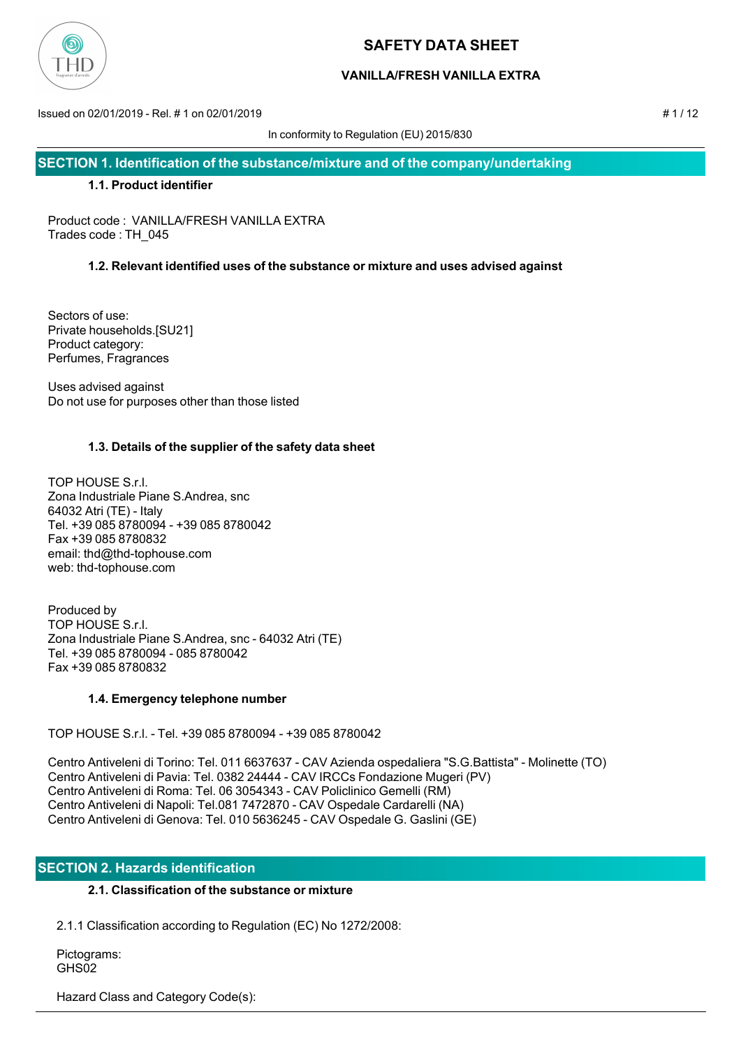

# **VANILLA/FRESH VANILLA EXTRA**

Issued on 02/01/2019 - Rel. # 1 on 02/01/2019 # 1 / 12

In conformity to Regulation (EU) 2015/830

**SECTION 1. Identification of the substance/mixture and of the company/undertaking**

### **1.1. Product identifier**

Product code : VANILLA/FRESH VANILLA EXTRA Trades code : TH\_045

## **1.2. Relevant identified uses of the substance or mixture and uses advised against**

Sectors of use: Private households.[SU21] Product category: Perfumes, Fragrances

Uses advised against Do not use for purposes other than those listed

## **1.3. Details of the supplier of the safety data sheet**

TOP HOUSE S.r.l. Zona Industriale Piane S.Andrea, snc 64032 Atri (TE) - Italy Tel. +39 085 8780094 - +39 085 8780042 Fax +39 085 8780832 email: thd@thd-tophouse.com web: thd-tophouse.com

Produced by TOP HOUSE S.r.l. Zona Industriale Piane S.Andrea, snc - 64032 Atri (TE) Tel. +39 085 8780094 - 085 8780042 Fax +39 085 8780832

### **1.4. Emergency telephone number**

TOP HOUSE S.r.l. - Tel. +39 085 8780094 - +39 085 8780042

Centro Antiveleni di Torino: Tel. 011 6637637 - CAV Azienda ospedaliera "S.G.Battista" - Molinette (TO) Centro Antiveleni di Pavia: Tel. 0382 24444 - CAV IRCCs Fondazione Mugeri (PV) Centro Antiveleni di Roma: Tel. 06 3054343 - CAV Policlinico Gemelli (RM) Centro Antiveleni di Napoli: Tel.081 7472870 - CAV Ospedale Cardarelli (NA) Centro Antiveleni di Genova: Tel. 010 5636245 - CAV Ospedale G. Gaslini (GE)

# **SECTION 2. Hazards identification**

## **2.1. Classification of the substance or mixture**

2.1.1 Classification according to Regulation (EC) No 1272/2008:

 Pictograms: GHS<sub>02</sub>

Hazard Class and Category Code(s):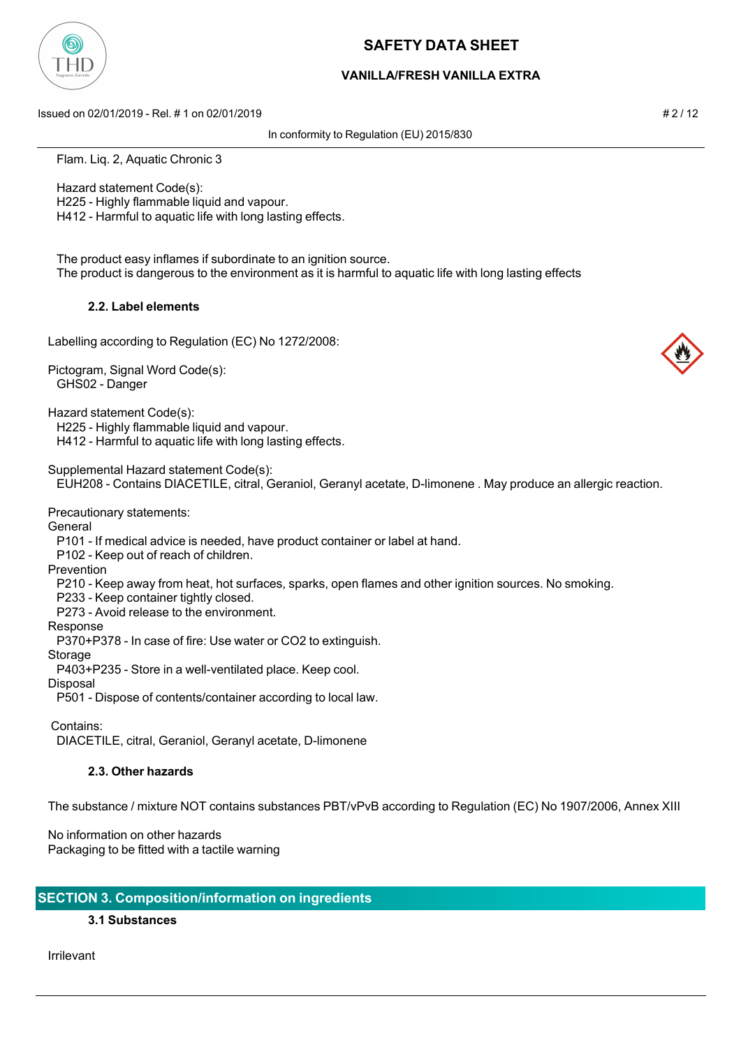

## **VANILLA/FRESH VANILLA EXTRA**

Issued on 02/01/2019 - Rel. # 1 on 02/01/2019 # 2 / 12

In conformity to Regulation (EU) 2015/830

Flam. Liq. 2, Aquatic Chronic 3

 Hazard statement Code(s): H225 - Highly flammable liquid and vapour.

H412 - Harmful to aquatic life with long lasting effects.

 The product easy inflames if subordinate to an ignition source. The product is dangerous to the environment as it is harmful to aquatic life with long lasting effects

### **2.2. Label elements**

Labelling according to Regulation (EC) No 1272/2008:

Pictogram, Signal Word Code(s): GHS02 - Danger

Hazard statement Code(s):

H225 - Highly flammable liquid and vapour.

H412 - Harmful to aquatic life with long lasting effects.

Supplemental Hazard statement Code(s):

EUH208 - Contains DIACETILE, citral, Geraniol, Geranyl acetate, D-limonene . May produce an allergic reaction.

Precautionary statements:

**General** 

P101 - If medical advice is needed, have product container or label at hand.

P102 - Keep out of reach of children.

Prevention

P210 - Keep away from heat, hot surfaces, sparks, open flames and other ignition sources. No smoking.

P233 - Keep container tightly closed.

P273 - Avoid release to the environment.

Response

P370+P378 - In case of fire: Use water or CO2 to extinguish.

Storage

P403+P235 - Store in a well-ventilated place. Keep cool.

Disposal

P501 - Dispose of contents/container according to local law.

Contains:

DIACETILE, citral, Geraniol, Geranyl acetate, D-limonene

### **2.3. Other hazards**

The substance / mixture NOT contains substances PBT/vPvB according to Regulation (EC) No 1907/2006, Annex XIII

No information on other hazards Packaging to be fitted with a tactile warning

# **SECTION 3. Composition/information on ingredients**

# **3.1 Substances**

Irrilevant

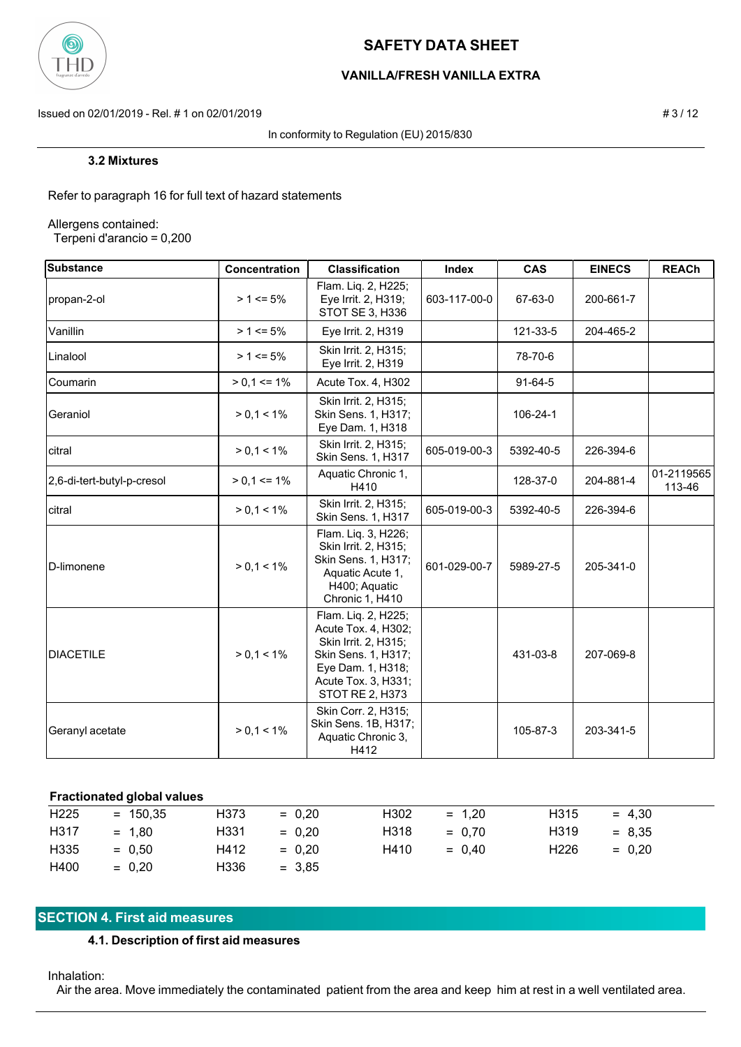

# **VANILLA/FRESH VANILLA EXTRA**

Issued on 02/01/2019 - Rel. # 1 on 02/01/2019 **# 3** / 12

In conformity to Regulation (EU) 2015/830

Refer to paragraph 16 for full text of hazard statements

Allergens contained:

Terpeni d'arancio = 0,200

| <b>Substance</b>           | Concentration   | <b>Classification</b>                                                                                                                                    | Index        | <b>CAS</b>     | <b>EINECS</b> | <b>REACh</b>         |
|----------------------------|-----------------|----------------------------------------------------------------------------------------------------------------------------------------------------------|--------------|----------------|---------------|----------------------|
| propan-2-ol                | $> 1 \le 5\%$   | Flam. Liq. 2, H225;<br>Eye Irrit. 2, H319;<br>STOT SE 3, H336                                                                                            | 603-117-00-0 | 67-63-0        | 200-661-7     |                      |
| Vanillin                   | $> 1 \le 5\%$   | Eye Irrit. 2, H319                                                                                                                                       |              | 121-33-5       | 204-465-2     |                      |
| Linalool                   | $> 1 \le 5\%$   | Skin Irrit. 2, H315;<br>Eye Irrit. 2, H319                                                                                                               |              | 78-70-6        |               |                      |
| Coumarin                   | $> 0.1 \le 1\%$ | Acute Tox. 4, H302                                                                                                                                       |              | $91-64-5$      |               |                      |
| Geraniol                   | $> 0.1 < 1\%$   | Skin Irrit. 2, H315;<br>Skin Sens. 1, H317;<br>Eye Dam. 1, H318                                                                                          |              | $106 - 24 - 1$ |               |                      |
| citral                     | $> 0.1 < 1\%$   | Skin Irrit. 2, H315;<br>Skin Sens. 1, H317                                                                                                               | 605-019-00-3 | 5392-40-5      | 226-394-6     |                      |
| 2,6-di-tert-butyl-p-cresol | $> 0.1 \le 1\%$ | Aquatic Chronic 1,<br>H410                                                                                                                               |              | 128-37-0       | 204-881-4     | 01-2119565<br>113-46 |
| citral                     | $> 0, 1 < 1\%$  | Skin Irrit. 2, H315;<br>Skin Sens. 1, H317                                                                                                               | 605-019-00-3 | 5392-40-5      | 226-394-6     |                      |
| D-limonene                 | $> 0, 1 < 1\%$  | Flam. Liq. 3, H226;<br>Skin Irrit. 2, H315;<br>Skin Sens. 1, H317;<br>Aquatic Acute 1,<br>H400; Aquatic<br>Chronic 1, H410                               | 601-029-00-7 | 5989-27-5      | 205-341-0     |                      |
| <b>DIACETILE</b>           | $> 0, 1 < 1\%$  | Flam. Liq. 2, H225;<br>Acute Tox. 4, H302;<br>Skin Irrit. 2, H315;<br>Skin Sens. 1, H317;<br>Eye Dam. 1, H318;<br>Acute Tox. 3, H331;<br>STOT RE 2, H373 |              | 431-03-8       | 207-069-8     |                      |
| Geranyl acetate            | $> 0, 1 < 1\%$  | Skin Corr. 2, H315;<br>Skin Sens. 1B, H317;<br>Aquatic Chronic 3,<br>H412                                                                                |              | 105-87-3       | 203-341-5     |                      |

### **Fractionated global values**

| H <sub>225</sub> | $= 150.35$ | H373 | $= 0.20$ | H <sub>302</sub>  | $= 1.20$ | H <sub>3</sub> 15 | $= 4.30$ |
|------------------|------------|------|----------|-------------------|----------|-------------------|----------|
| H317             | $= 1.80$   | H331 | $= 0.20$ | H <sub>3</sub> 18 | $= 0.70$ | H <sub>3</sub> 19 | $= 8.35$ |
| H335             | $= 0.50$   | H412 | $= 0.20$ | H410              | $= 0.40$ | H <sub>226</sub>  | $= 0.20$ |
| H400             | $= 0.20$   | H336 | $= 3.85$ |                   |          |                   |          |

## **SECTION 4. First aid measures**

### **4.1. Description of first aid measures**

#### Inhalation:

Air the area. Move immediately the contaminated patient from the area and keep him at rest in a well ventilated area.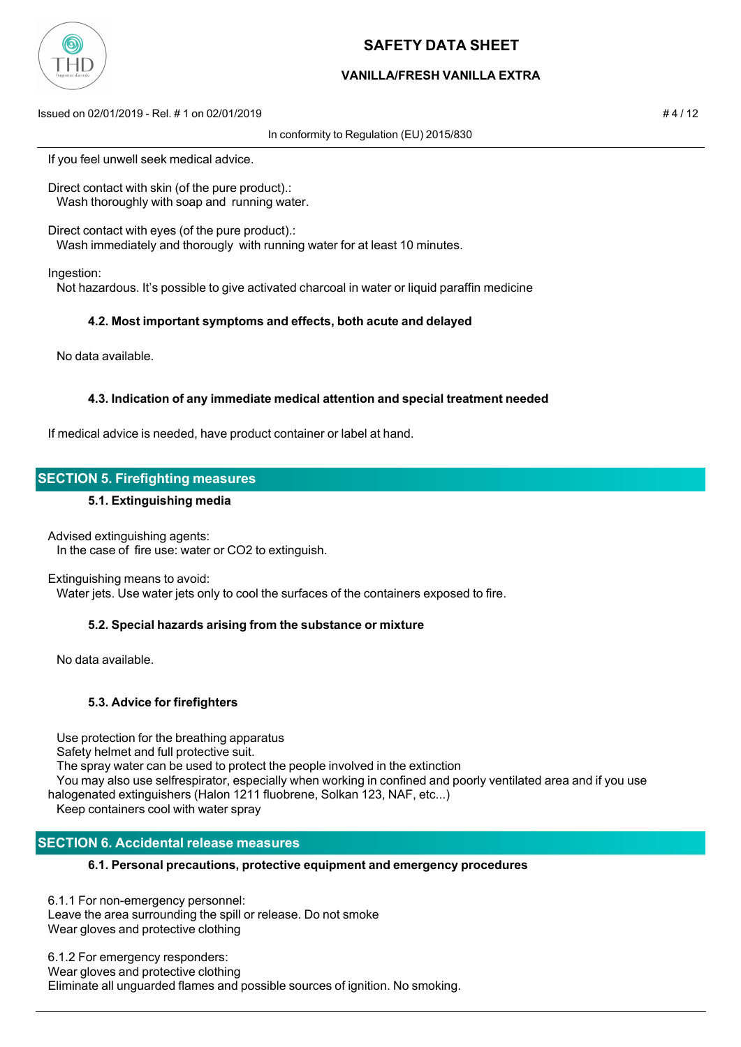

## **VANILLA/FRESH VANILLA EXTRA**

Issued on 02/01/2019 - Rel. # 1 on 02/01/2019 # 4 / 12

In conformity to Regulation (EU) 2015/830

If you feel unwell seek medical advice.

Direct contact with skin (of the pure product).: Wash thoroughly with soap and running water.

Direct contact with eyes (of the pure product).:

Wash immediately and thorougly with running water for at least 10 minutes.

Ingestion:

Not hazardous. It's possible to give activated charcoal in water or liquid paraffin medicine

### **4.2. Most important symptoms and effects, both acute and delayed**

No data available.

### **4.3. Indication of any immediate medical attention and special treatment needed**

If medical advice is needed, have product container or label at hand.

## **SECTION 5. Firefighting measures**

#### **5.1. Extinguishing media**

Advised extinguishing agents: In the case of fire use: water or CO2 to extinguish.

#### Extinguishing means to avoid:

Water jets. Use water jets only to cool the surfaces of the containers exposed to fire.

### **5.2. Special hazards arising from the substance or mixture**

No data available.

### **5.3. Advice for firefighters**

Use protection for the breathing apparatus

Safety helmet and full protective suit.

The spray water can be used to protect the people involved in the extinction

You may also use selfrespirator, especially when working in confined and poorly ventilated area and if you use

halogenated extinguishers (Halon 1211 fluobrene, Solkan 123, NAF, etc...)

Keep containers cool with water spray

# **SECTION 6. Accidental release measures**

### **6.1. Personal precautions, protective equipment and emergency procedures**

6.1.1 For non-emergency personnel: Leave the area surrounding the spill or release. Do not smoke Wear gloves and protective clothing

6.1.2 For emergency responders: Wear gloves and protective clothing Eliminate all unguarded flames and possible sources of ignition. No smoking.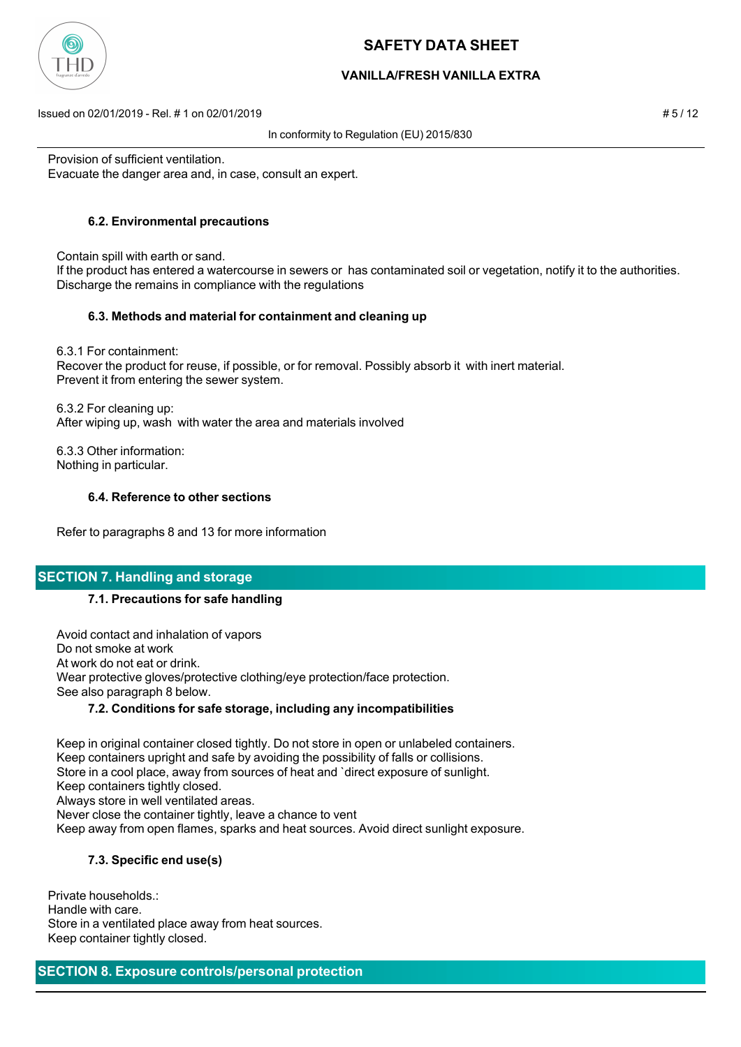

## **VANILLA/FRESH VANILLA EXTRA**

Issued on 02/01/2019 - Rel. # 1 on 02/01/2019 # 5 / 12

In conformity to Regulation (EU) 2015/830

Provision of sufficient ventilation. Evacuate the danger area and, in case, consult an expert.

# **6.2. Environmental precautions**

 Contain spill with earth or sand. If the product has entered a watercourse in sewers or has contaminated soil or vegetation, notify it to the authorities. Discharge the remains in compliance with the regulations

## **6.3. Methods and material for containment and cleaning up**

 6.3.1 For containment: Recover the product for reuse, if possible, or for removal. Possibly absorb it with inert material. Prevent it from entering the sewer system.

 6.3.2 For cleaning up: After wiping up, wash with water the area and materials involved

 6.3.3 Other information: Nothing in particular.

## **6.4. Reference to other sections**

Refer to paragraphs 8 and 13 for more information

# **SECTION 7. Handling and storage**

# **7.1. Precautions for safe handling**

 Avoid contact and inhalation of vapors Do not smoke at work At work do not eat or drink. Wear protective gloves/protective clothing/eye protection/face protection. See also paragraph 8 below.

# **7.2. Conditions for safe storage, including any incompatibilities**

 Keep in original container closed tightly. Do not store in open or unlabeled containers. Keep containers upright and safe by avoiding the possibility of falls or collisions. Store in a cool place, away from sources of heat and `direct exposure of sunlight. Keep containers tightly closed. Always store in well ventilated areas. Never close the container tightly, leave a chance to vent Keep away from open flames, sparks and heat sources. Avoid direct sunlight exposure.

# **7.3. Specific end use(s)**

Private households.: Handle with care. Store in a ventilated place away from heat sources. Keep container tightly closed.

**SECTION 8. Exposure controls/personal protection**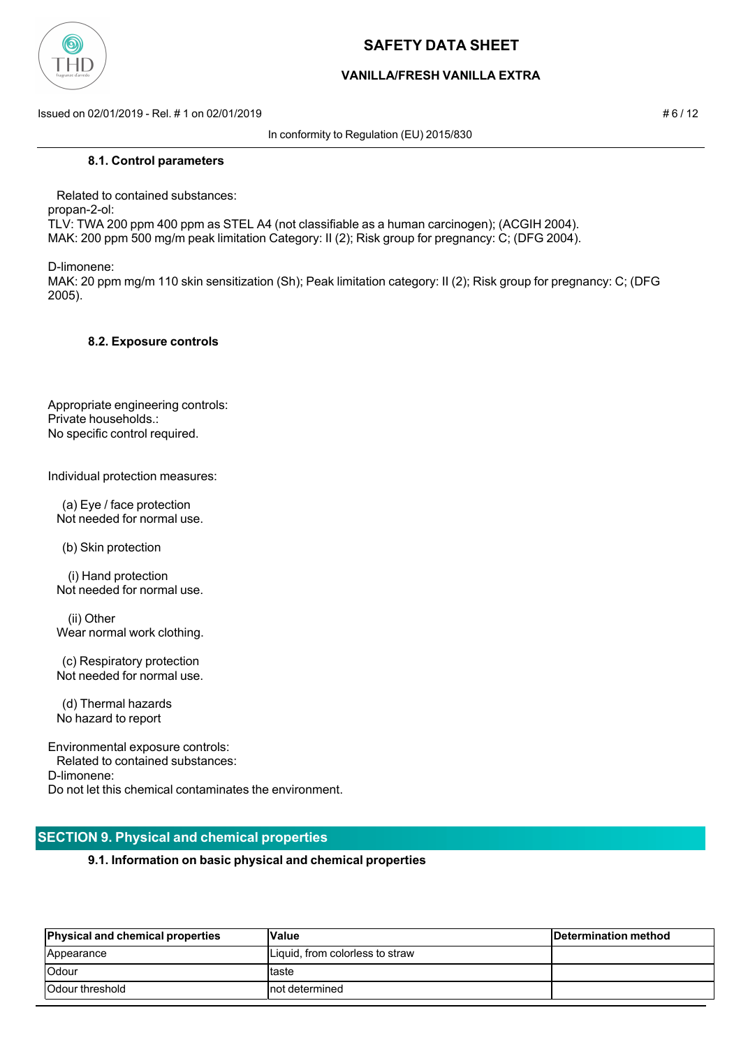

## **VANILLA/FRESH VANILLA EXTRA**

Issued on 02/01/2019 - Rel. # 1 on 02/01/2019 # 6 / 12

In conformity to Regulation (EU) 2015/830

#### **8.1. Control parameters**

 Related to contained substances: propan-2-ol: TLV: TWA 200 ppm 400 ppm as STEL A4 (not classifiable as a human carcinogen); (ACGIH 2004). MAK: 200 ppm 500 mg/m peak limitation Category: II (2); Risk group for pregnancy: C; (DFG 2004).

D-limonene:

MAK: 20 ppm mg/m 110 skin sensitization (Sh); Peak limitation category: II (2); Risk group for pregnancy: C; (DFG 2005).

#### **8.2. Exposure controls**

Appropriate engineering controls: Private households.: No specific control required.

Individual protection measures:

 (a) Eye / face protection Not needed for normal use.

(b) Skin protection

 (i) Hand protection Not needed for normal use.

 (ii) Other Wear normal work clothing.

 (c) Respiratory protection Not needed for normal use.

 (d) Thermal hazards No hazard to report

Environmental exposure controls: Related to contained substances: D-limonene: Do not let this chemical contaminates the environment.

### **SECTION 9. Physical and chemical properties**

### **9.1. Information on basic physical and chemical properties**

| <b>Physical and chemical properties</b> | Value                           | Determination method |
|-----------------------------------------|---------------------------------|----------------------|
| Appearance                              | Liquid, from colorless to straw |                      |
| Odour                                   | Itaste                          |                      |
| <b>Odour threshold</b>                  | Inot determined                 |                      |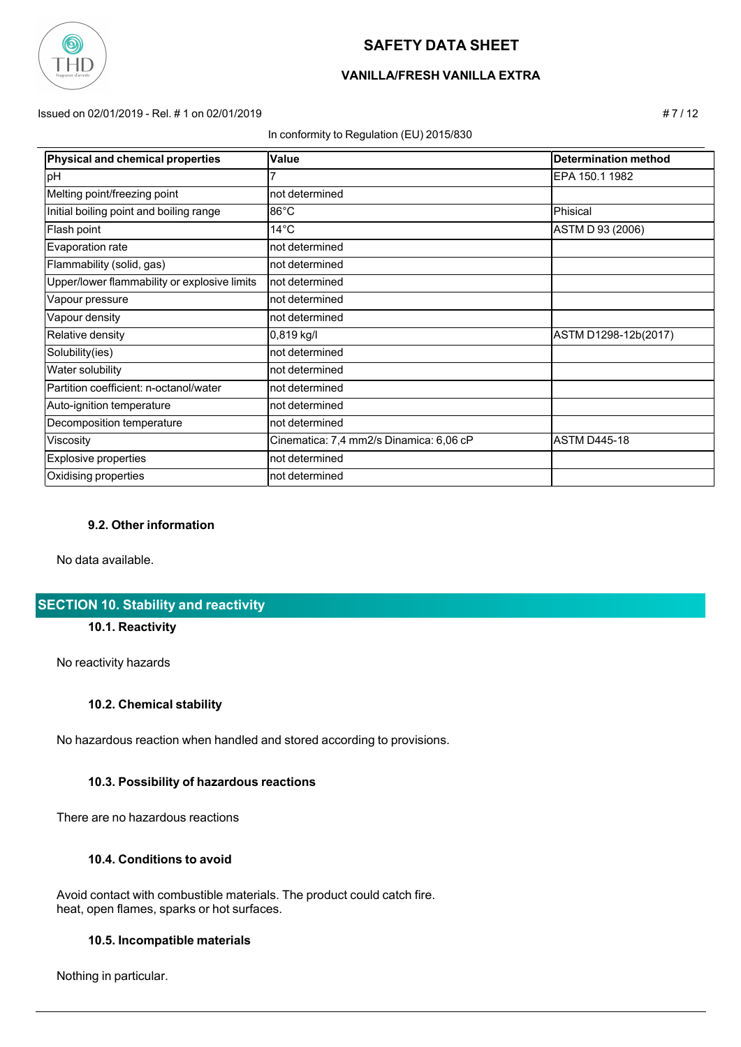

# **VANILLA/FRESH VANILLA EXTRA**

Issued on 02/01/2019 - Rel. # 1 on 02/01/2019 # 7 / 12

In conformity to Regulation (EU) 2015/830

| <b>Physical and chemical properties</b>      | Value                                   | <b>Determination method</b> |
|----------------------------------------------|-----------------------------------------|-----------------------------|
| pH                                           |                                         | EPA 150.1 1982              |
| Melting point/freezing point                 | not determined                          |                             |
| Initial boiling point and boiling range      | $86^{\circ}$ C                          | Phisical                    |
| Flash point                                  | $14^{\circ}$ C                          | ASTM D 93 (2006)            |
| Evaporation rate                             | not determined                          |                             |
| Flammability (solid, gas)                    | not determined                          |                             |
| Upper/lower flammability or explosive limits | not determined                          |                             |
| Vapour pressure                              | not determined                          |                             |
| Vapour density                               | not determined                          |                             |
| Relative density                             | $0,819$ kg/l                            | ASTM D1298-12b(2017)        |
| Solubility(ies)                              | not determined                          |                             |
| Water solubility                             | not determined                          |                             |
| Partition coefficient: n-octanol/water       | not determined                          |                             |
| Auto-ignition temperature                    | not determined                          |                             |
| Decomposition temperature                    | not determined                          |                             |
| Viscosity                                    | Cinematica: 7,4 mm2/s Dinamica: 6,06 cP | <b>ASTM D445-18</b>         |
| <b>Explosive properties</b>                  | not determined                          |                             |
| Oxidising properties                         | not determined                          |                             |

### **9.2. Other information**

No data available.

# **SECTION 10. Stability and reactivity**

#### **10.1. Reactivity**

No reactivity hazards

### **10.2. Chemical stability**

No hazardous reaction when handled and stored according to provisions.

### **10.3. Possibility of hazardous reactions**

There are no hazardous reactions

### **10.4. Conditions to avoid**

 Avoid contact with combustible materials. The product could catch fire. heat, open flames, sparks or hot surfaces.

#### **10.5. Incompatible materials**

Nothing in particular.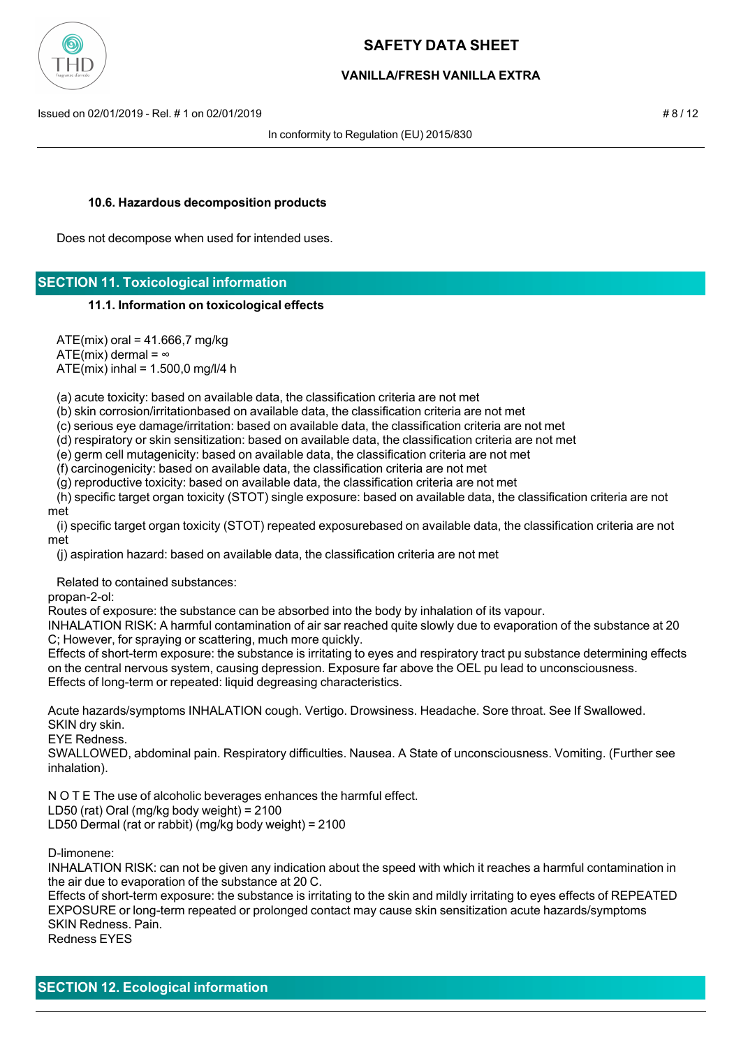

## **VANILLA/FRESH VANILLA EXTRA**

Issued on 02/01/2019 - Rel. # 1 on 02/01/2019 # 8 / 12

In conformity to Regulation (EU) 2015/830

#### **10.6. Hazardous decomposition products**

Does not decompose when used for intended uses.

# **SECTION 11. Toxicological information**

#### **11.1. Information on toxicological effects**

 $ATE(min)$  oral = 41.666,7 mg/kg ATE(mix) dermal =  $\infty$ ATE(mix) inhal = 1.500,0 mg/l/4 h

(a) acute toxicity: based on available data, the classification criteria are not met

(b) skin corrosion/irritationbased on available data, the classification criteria are not met

(c) serious eye damage/irritation: based on available data, the classification criteria are not met

(d) respiratory or skin sensitization: based on available data, the classification criteria are not met

(e) germ cell mutagenicity: based on available data, the classification criteria are not met

(f) carcinogenicity: based on available data, the classification criteria are not met

(g) reproductive toxicity: based on available data, the classification criteria are not met

 (h) specific target organ toxicity (STOT) single exposure: based on available data, the classification criteria are not met

 (i) specific target organ toxicity (STOT) repeated exposurebased on available data, the classification criteria are not met

(j) aspiration hazard: based on available data, the classification criteria are not met

Related to contained substances:

propan-2-ol:

Routes of exposure: the substance can be absorbed into the body by inhalation of its vapour.

INHALATION RISK: A harmful contamination of air sar reached quite slowly due to evaporation of the substance at 20 C; However, for spraying or scattering, much more quickly.

Effects of short-term exposure: the substance is irritating to eyes and respiratory tract pu substance determining effects on the central nervous system, causing depression. Exposure far above the OEL pu lead to unconsciousness. Effects of long-term or repeated: liquid degreasing characteristics.

Acute hazards/symptoms INHALATION cough. Vertigo. Drowsiness. Headache. Sore throat. See If Swallowed. SKIN dry skin.

EYE Redness.

SWALLOWED, abdominal pain. Respiratory difficulties. Nausea. A State of unconsciousness. Vomiting. (Further see inhalation).

N O T E The use of alcoholic beverages enhances the harmful effect.

LD50 (rat) Oral (mg/kg body weight) = 2100

LD50 Dermal (rat or rabbit) (mg/kg body weight) = 2100

D-limonene:

INHALATION RISK: can not be given any indication about the speed with which it reaches a harmful contamination in the air due to evaporation of the substance at 20 C.

Effects of short-term exposure: the substance is irritating to the skin and mildly irritating to eyes effects of REPEATED EXPOSURE or long-term repeated or prolonged contact may cause skin sensitization acute hazards/symptoms SKIN Redness. Pain.

Redness EYES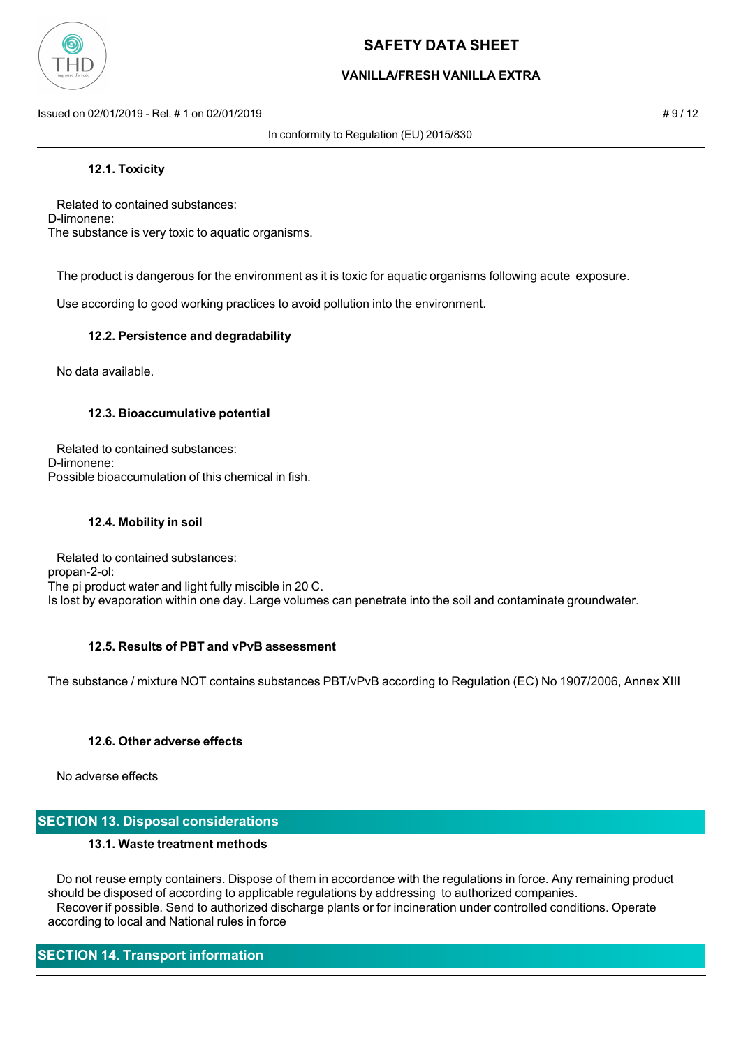

## **VANILLA/FRESH VANILLA EXTRA**

Issued on 02/01/2019 - Rel. # 1 on 02/01/2019 **Assumed by a structure of the structure of the structure of the structure of the structure of the structure of the structure of the structure of the structure of the structure** 

In conformity to Regulation (EU) 2015/830

### **12.1. Toxicity**

 Related to contained substances: D-limonene: The substance is very toxic to aquatic organisms.

The product is dangerous for the environment as it is toxic for aquatic organisms following acute exposure.

Use according to good working practices to avoid pollution into the environment.

### **12.2. Persistence and degradability**

No data available.

#### **12.3. Bioaccumulative potential**

 Related to contained substances: D-limonene: Possible bioaccumulation of this chemical in fish.

### **12.4. Mobility in soil**

 Related to contained substances: propan-2-ol: The pi product water and light fully miscible in 20 C. Is lost by evaporation within one day. Large volumes can penetrate into the soil and contaminate groundwater.

### **12.5. Results of PBT and vPvB assessment**

The substance / mixture NOT contains substances PBT/vPvB according to Regulation (EC) No 1907/2006, Annex XIII

### **12.6. Other adverse effects**

No adverse effects

# **SECTION 13. Disposal considerations**

### **13.1. Waste treatment methods**

 Do not reuse empty containers. Dispose of them in accordance with the regulations in force. Any remaining product should be disposed of according to applicable regulations by addressing to authorized companies. Recover if possible. Send to authorized discharge plants or for incineration under controlled conditions. Operate according to local and National rules in force

# **SECTION 14. Transport information**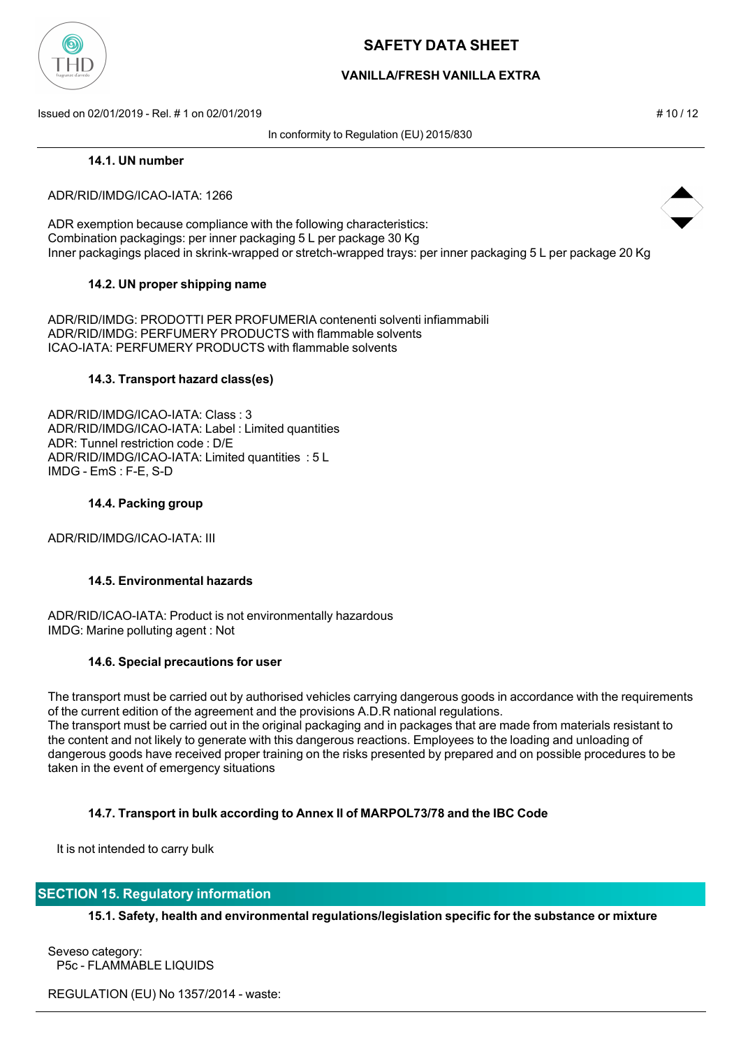

## **VANILLA/FRESH VANILLA EXTRA**

Issued on 02/01/2019 - Rel. # 1 on 02/01/2019 **# 10 / 12** substitution to the state of the state of the state of the state of the state of the state of the state of the state of the state of the state of the state of the s

In conformity to Regulation (EU) 2015/830

#### **14.1. UN number**

#### ADR/RID/IMDG/ICAO-IATA: 1266

ADR exemption because compliance with the following characteristics: Combination packagings: per inner packaging 5 L per package 30 Kg Inner packagings placed in skrink-wrapped or stretch-wrapped trays: per inner packaging 5 L per package 20 Kg

### **14.2. UN proper shipping name**

ADR/RID/IMDG: PRODOTTI PER PROFUMERIA contenenti solventi infiammabili ADR/RID/IMDG: PERFUMERY PRODUCTS with flammable solvents ICAO-IATA: PERFUMERY PRODUCTS with flammable solvents

#### **14.3. Transport hazard class(es)**

ADR/RID/IMDG/ICAO-IATA: Class : 3 ADR/RID/IMDG/ICAO-IATA: Label : Limited quantities ADR: Tunnel restriction code : D/E ADR/RID/IMDG/ICAO-IATA: Limited quantities : 5 L IMDG - EmS : F-E, S-D

#### **14.4. Packing group**

ADR/RID/IMDG/ICAO-IATA: III

### **14.5. Environmental hazards**

ADR/RID/ICAO-IATA: Product is not environmentally hazardous IMDG: Marine polluting agent : Not

#### **14.6. Special precautions for user**

The transport must be carried out by authorised vehicles carrying dangerous goods in accordance with the requirements of the current edition of the agreement and the provisions A.D.R national regulations. The transport must be carried out in the original packaging and in packages that are made from materials resistant to the content and not likely to generate with this dangerous reactions. Employees to the loading and unloading of dangerous goods have received proper training on the risks presented by prepared and on possible procedures to be taken in the event of emergency situations

### **14.7. Transport in bulk according to Annex II of MARPOL73/78 and the IBC Code**

It is not intended to carry bulk

### **SECTION 15. Regulatory information**

**15.1. Safety, health and environmental regulations/legislation specific for the substance or mixture**

Seveso category: P5c - FLAMMABLE LIQUIDS

REGULATION (EU) No 1357/2014 - waste:



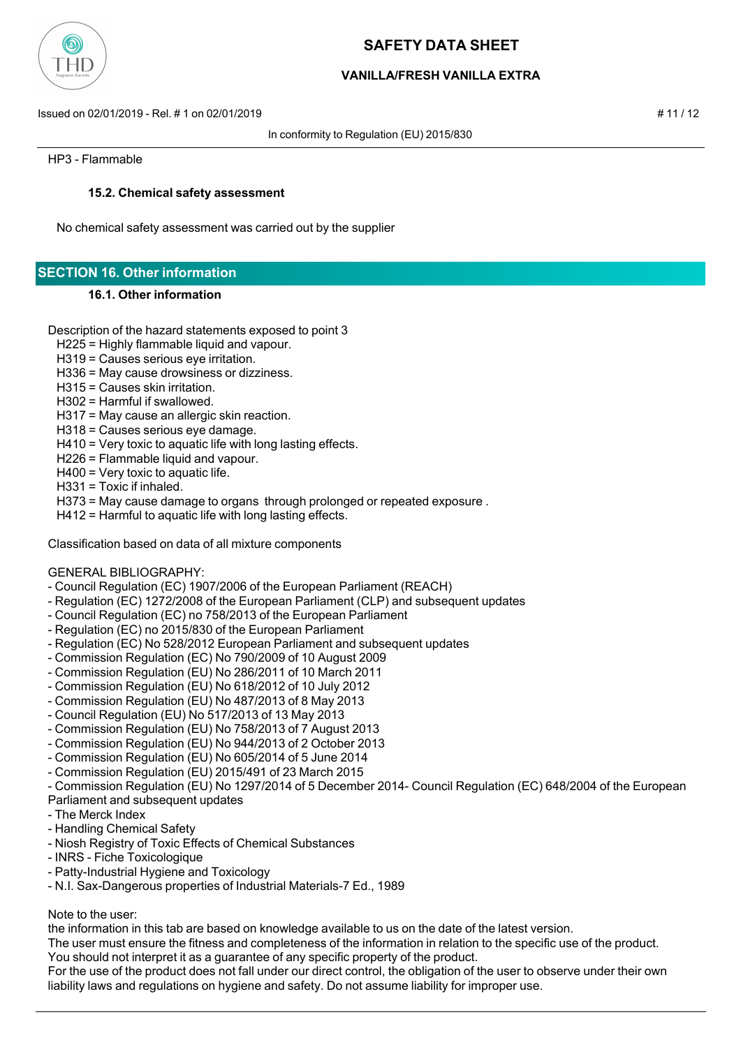

# **VANILLA/FRESH VANILLA EXTRA**

Issued on 02/01/2019 - Rel. # 1 on 02/01/2019 # 11 / 12

In conformity to Regulation (EU) 2015/830

HP3 - Flammable

### **15.2. Chemical safety assessment**

No chemical safety assessment was carried out by the supplier

# **SECTION 16. Other information**

#### **16.1. Other information**

- Description of the hazard statements exposed to point 3
	- H225 = Highly flammable liquid and vapour.
	- H319 = Causes serious eye irritation.
	- H336 = May cause drowsiness or dizziness.
	- H315 = Causes skin irritation.
	- H302 = Harmful if swallowed.
	- H317 = May cause an allergic skin reaction.
	- H318 = Causes serious eye damage.
	- H410 = Very toxic to aquatic life with long lasting effects.
	- H226 = Flammable liquid and vapour.
	- H400 = Very toxic to aquatic life.
	- H331 = Toxic if inhaled.
	- H373 = May cause damage to organs through prolonged or repeated exposure .
- H412 = Harmful to aquatic life with long lasting effects.

Classification based on data of all mixture components

#### GENERAL BIBLIOGRAPHY:

- Council Regulation (EC) 1907/2006 of the European Parliament (REACH)
- Regulation (EC) 1272/2008 of the European Parliament (CLP) and subsequent updates
- Council Regulation (EC) no 758/2013 of the European Parliament
- Regulation (EC) no 2015/830 of the European Parliament
- Regulation (EC) No 528/2012 European Parliament and subsequent updates
- Commission Regulation (EC) No 790/2009 of 10 August 2009
- Commission Regulation (EU) No 286/2011 of 10 March 2011
- Commission Regulation (EU) No 618/2012 of 10 July 2012
- Commission Regulation (EU) No 487/2013 of 8 May 2013
- Council Regulation (EU) No 517/2013 of 13 May 2013
- Commission Regulation (EU) No 758/2013 of 7 August 2013
- Commission Regulation (EU) No 944/2013 of 2 October 2013
- Commission Regulation (EU) No 605/2014 of 5 June 2014
- Commission Regulation (EU) 2015/491 of 23 March 2015
- Commission Regulation (EU) No 1297/2014 of 5 December 2014- Council Regulation (EC) 648/2004 of the European

#### Parliament and subsequent updates

- The Merck Index
- Handling Chemical Safety
- Niosh Registry of Toxic Effects of Chemical Substances
- INRS Fiche Toxicologique
- Patty-Industrial Hygiene and Toxicology
- N.I. Sax-Dangerous properties of Industrial Materials-7 Ed., 1989

#### Note to the user:

the information in this tab are based on knowledge available to us on the date of the latest version.

The user must ensure the fitness and completeness of the information in relation to the specific use of the product.

You should not interpret it as a guarantee of any specific property of the product.

For the use of the product does not fall under our direct control, the obligation of the user to observe under their own liability laws and regulations on hygiene and safety. Do not assume liability for improper use.